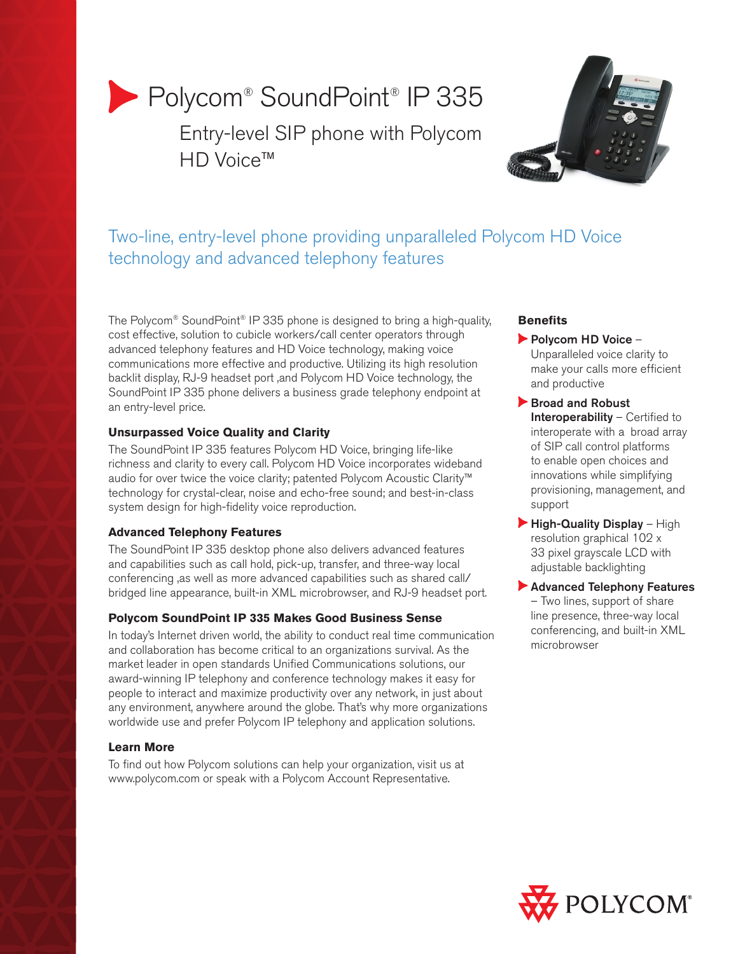# Polycom® SoundPoint® IP 335

Entry-level SIP phone with Polycom HD Voice<sup>™</sup>



# Two-line, entry-level phone providing unparalleled Polycom HD Voice technology and advanced telephony features

The Polycom® SoundPoint® IP 335 phone is designed to bring a high-quality, cost effective, solution to cubicle workers/call center operators through advanced telephony features and HD Voice technology, making voice communications more effective and productive. Utilizing its high resolution backlit display, RJ-9 headset port ,and Polycom HD Voice technology, the SoundPoint IP 335 phone delivers a business grade telephony endpoint at an entry-level price.

# **Unsurpassed Voice Quality and Clarity**

The SoundPoint IP 335 features Polycom HD Voice, bringing life-like richness and clarity to every call. Polycom HD Voice incorporates wideband audio for over twice the voice clarity; patented Polycom Acoustic Clarity™ technology for crystal-clear, noise and echo-free sound; and best-in-class system design for high-fidelity voice reproduction.

## **Advanced Telephony Features**

The SoundPoint IP 335 desktop phone also delivers advanced features and capabilities such as call hold, pick-up, transfer, and three-way local conferencing ,as well as more advanced capabilities such as shared call/ bridged line appearance, built-in XML microbrowser, and RJ-9 headset port.

# **Polycom SoundPoint IP 335 Makes Good Business Sense**

In today's Internet driven world, the ability to conduct real time communication and collaboration has become critical to an organizations survival. As the market leader in open standards Unified Communications solutions, our award-winning IP telephony and conference technology makes it easy for people to interact and maximize productivity over any network, in just about any environment, anywhere around the globe. That's why more organizations worldwide use and prefer Polycom IP telephony and application solutions.

# **Learn More**

To find out how Polycom solutions can help your organization, visit us at www.polycom.com or speak with a Polycom Account Representative.

# **Benefits**

Polycom HD Voice – Unparalleled voice clarity to make your calls more efficient and productive

- Broad and Robust Interoperability – Certified to interoperate with a broad array of SIP call control platforms to enable open choices and innovations while simplifying provisioning, management, and support
- $\blacktriangleright$  High-Quality Display High resolution graphical 102 x 33 pixel grayscale LCD with adjustable backlighting
- Advanced Telephony Features – Two lines, support of share line presence, three-way local conferencing, and built-in XML microbrowser